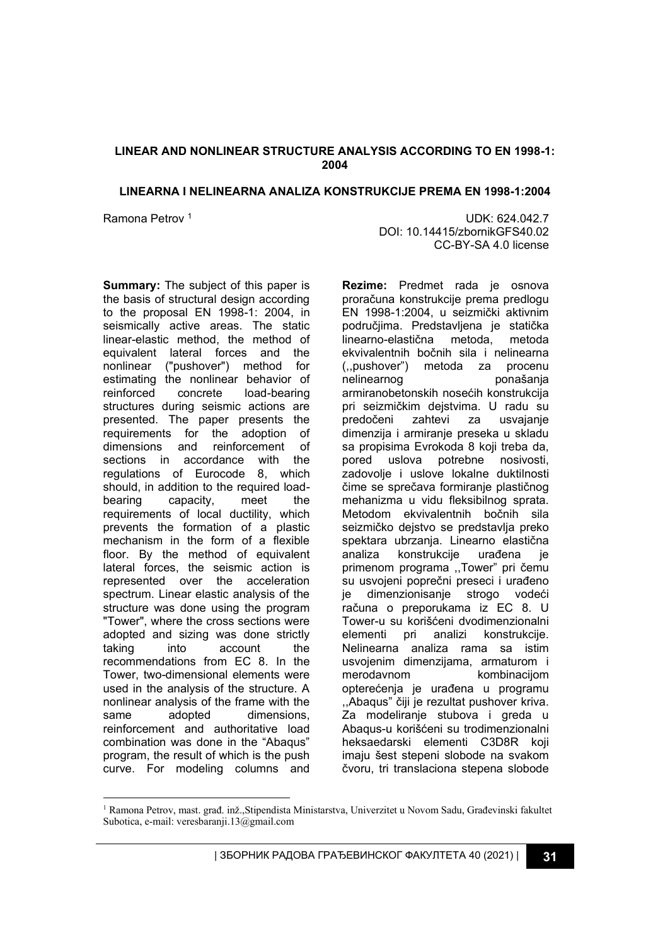# **LINEAR AND NONLINEAR STRUCTURE ANALYSIS ACCORDING TO EN 1998-1: 2004**

#### **LINEARNA I NELINEARNA ANALIZA KONSTRUKCIJE PREMA EN 1998-1:2004**

Ramona Petrov <sup>1</sup> and 100 km s and 100 km s and 100 km s and 100 km s and 100 km s and 100 km s and 100 km s and 100 km s and 100 km s and 100 km s and 100 km s and 100 km s and 100 km s and 100 km s and 100 km s and 100 k DOI: 10.14415/zbornikGFS40.02 CC-BY-SA 4.0 license

**Summary:** The subject of this paper is the basis of structural design according to the proposal EN 1998-1: 2004, in seismically active areas. The static linear-elastic method, the method of equivalent lateral forces and the nonlinear ("pushover") method for estimating the nonlinear behavior of reinforced concrete load-bearing structures during seismic actions are presented. The paper presents the requirements for the adoption of dimensions and reinforcement of sections in accordance with the regulations of Eurocode 8, which should, in addition to the required loadbearing capacity, meet the requirements of local ductility, which prevents the formation of a plastic mechanism in the form of a flexible floor. By the method of equivalent lateral forces, the seismic action is represented over the acceleration spectrum. Linear elastic analysis of the structure was done using the program "Tower", where the cross sections were adopted and sizing was done strictly taking into account the recommendations from EC 8. In the Tower, two-dimensional elements were used in the analysis of the structure. A nonlinear analysis of the frame with the same adopted dimensions. reinforcement and authoritative load combination was done in the "Abaqus" program, the result of which is the push curve. For modeling columns and **Rezime:** Predmet rada je osnova proračuna konstrukcije prema predlogu EN 1998-1:2004, u seizmički aktivnim područjima. Predstavljena je statička linearno-elastična metoda, metoda ekvivalentnih bočnih sila i nelinearna (,,pushover") metoda za procenu nelinearnog ponašanja armiranobetonskih nosećih konstrukcija pri seizmičkim dejstvima. U radu su predočeni zahtevi za usvajanje dimenzija i armiranje preseka u skladu sa propisima Evrokoda 8 koji treba da, pored uslova potrebne nosivosti, zadovolje i uslove lokalne duktilnosti čime se sprečava formiranje plastičnog mehanizma u vidu fleksibilnog sprata. Metodom ekvivalentnih bočnih sila seizmičko dejstvo se predstavlja preko spektara ubrzanja. Linearno elastična analiza konstrukcije urađena je primenom programa ,,Tower" pri čemu su usvojeni poprečni preseci i urađeno je dimenzionisanje strogo vodeći računa o preporukama iz EC 8. U Tower-u su korišćeni dvodimenzionalni elementi pri analizi konstrukcije. Nelinearna analiza rama sa istim usvojenim dimenzijama, armaturom i merodavnom kombinacijom opterećenja je urađena u programu ,,Abaqus" čiji je rezultat pushover kriva. Za modeliranje stubova i greda u Abaqus-u korišćeni su trodimenzionalni heksaedarski elementi C3D8R koji imaju šest stepeni slobode na svakom čvoru, tri translaciona stepena slobode

<sup>1</sup> Ramona Petrov, mast. građ. inž.,Stipendista Ministarstva, Univerzitet u Novom Sadu, Građevinski fakultet Subotica, e-mail: veresbaranji.13@gmail.com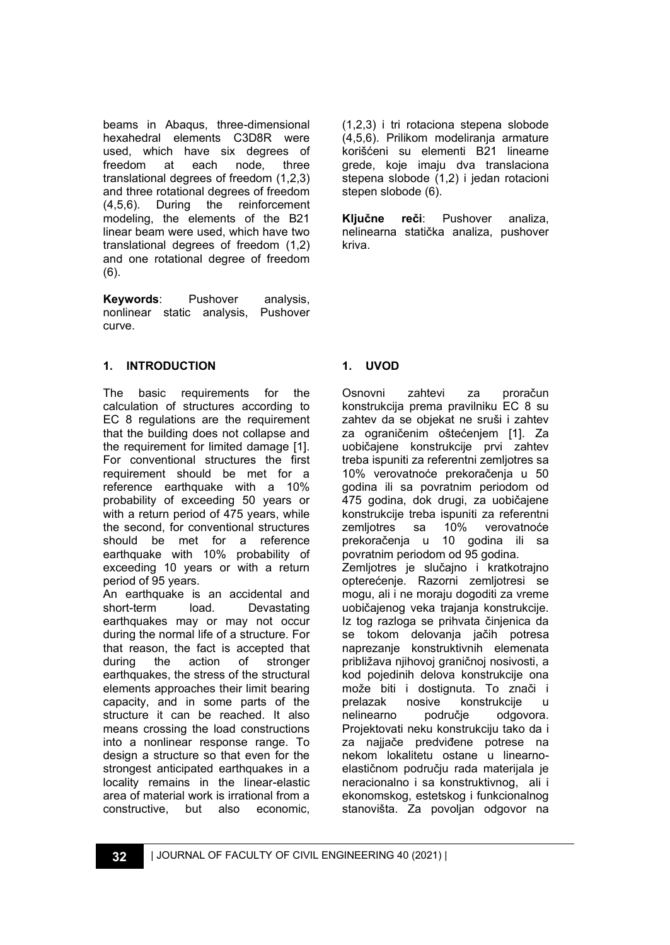beams in Abaqus, three-dimensional hexahedral elements C3D8R were used, which have six degrees of freedom at each node, three translational degrees of freedom (1,2,3) and three rotational degrees of freedom<br>(4.5.6). During the reinforcement (4,5,6). During the reinforcement modeling, the elements of the B21 linear beam were used, which have two translational degrees of freedom (1,2) and one rotational degree of freedom (6).

**Keywords**: Pushover analysis, nonlinear static analysis, Pushover curve.

# **1. INTRODUCTION**

The basic requirements for the calculation of structures according to EC 8 regulations are the requirement that the building does not collapse and the requirement for limited damage [1]. For conventional structures the first requirement should be met for a reference earthquake with a 10% probability of exceeding 50 years or with a return period of 475 years, while the second, for conventional structures should be met for a reference earthquake with 10% probability of exceeding 10 years or with a return period of 95 years.

An earthquake is an accidental and short-term load. Devastating earthquakes may or may not occur during the normal life of a structure. For that reason, the fact is accepted that during the action of stronger earthquakes, the stress of the structural elements approaches their limit bearing capacity, and in some parts of the structure it can be reached. It also means crossing the load constructions into a nonlinear response range. To design a structure so that even for the strongest anticipated earthquakes in a locality remains in the linear-elastic area of material work is irrational from a constructive, but also economic,

(1,2,3) i tri rotaciona stepena slobode (4,5,6). Prilikom modeliranja armature korišćeni su elementi B21 linearne grede, koje imaju dva translaciona stepena slobode (1,2) i jedan rotacioni stepen slobode (6).

**Ključne reči**: Pushover analiza, nelinearna statička analiza, pushover kriva.

# **1. UVOD**

Osnovni zahtevi za proračun konstrukcija prema pravilniku EC 8 su zahtev da se objekat ne sruši i zahtev za ograničenim oštećenjem [1]. Za uobičajene konstrukcije prvi zahtev treba ispuniti za referentni zemljotres sa 10% verovatnoće prekoračenja u 50 godina ili sa povratnim periodom od 475 godina, dok drugi, za uobičajene konstrukcije treba ispuniti za referentni zemljotres sa 10% verovatnoće prekoračenja u 10 godina ili sa povratnim periodom od 95 godina. Zemljotres je slučajno i kratkotrajno opterećenje. Razorni zemljotresi se mogu, ali i ne moraju dogoditi za vreme uobičajenog veka trajanja konstrukcije. Iz tog razloga se prihvata činjenica da se tokom delovanja jačih potresa naprezanje konstruktivnih elemenata približava njihovoj graničnoj nosivosti, a kod pojedinih delova konstrukcije ona može biti i dostignuta. To znači i prelazak nosive konstrukcije u nelinearno područje odgovora. Projektovati neku konstrukciju tako da i za najjače predviđene potrese na nekom lokalitetu ostane u linearnoelastičnom području rada materijala je neracionalno i sa konstruktivnog, ali i ekonomskog, estetskog i funkcionalnog stanovišta. Za povoljan odgovor na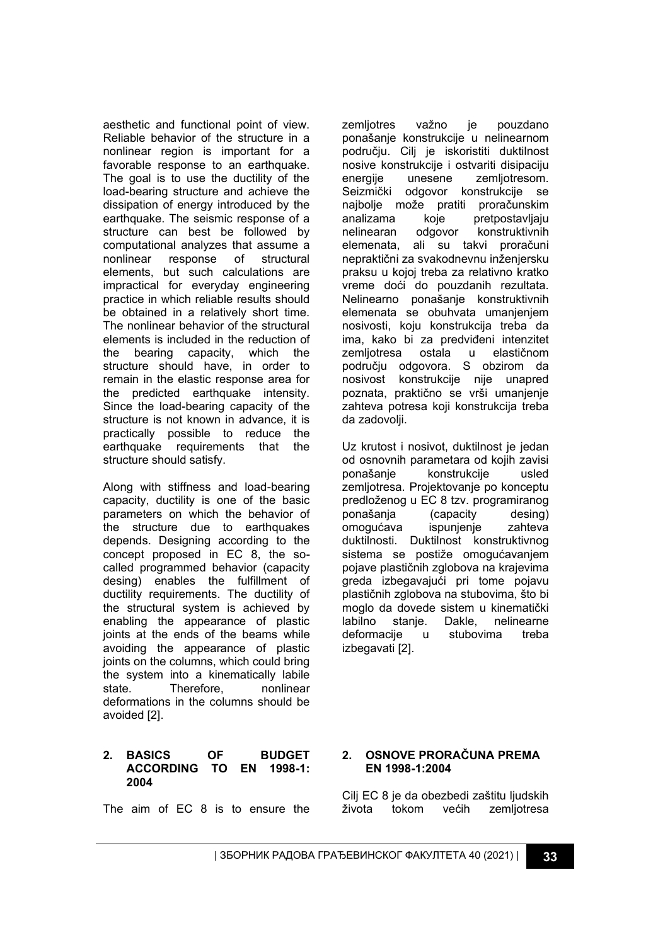aesthetic and functional point of view. Reliable behavior of the structure in a nonlinear region is important for a favorable response to an earthquake. The goal is to use the ductility of the load-bearing structure and achieve the dissipation of energy introduced by the earthquake. The seismic response of a structure can best be followed by computational analyzes that assume a nonlinear response of structural elements, but such calculations are impractical for everyday engineering practice in which reliable results should be obtained in a relatively short time. The nonlinear behavior of the structural elements is included in the reduction of the bearing capacity, which the structure should have, in order to remain in the elastic response area for the predicted earthquake intensity. Since the load-bearing capacity of the structure is not known in advance, it is practically possible to reduce the earthquake requirements that the structure should satisfy.

Along with stiffness and load-bearing capacity, ductility is one of the basic parameters on which the behavior of the structure due to earthquakes depends. Designing according to the concept proposed in EC 8, the socalled programmed behavior (capacity desing) enables the fulfillment of ductility requirements. The ductility of the structural system is achieved by enabling the appearance of plastic joints at the ends of the beams while avoiding the appearance of plastic joints on the columns, which could bring the system into a kinematically labile state. Therefore, nonlinear deformations in the columns should be avoided [2].

### **2. BASICS OF BUDGET ACCORDING TO EN 1998-1: 2004**

The aim of EC 8 is to ensure the

zemljotres važno je pouzdano ponašanje konstrukcije u nelinearnom području. Cilj je iskoristiti duktilnost nosive konstrukcije i ostvariti disipaciju energije unesene zemljotresom. Seizmički odgovor konstrukcije se najbolje može pratiti proračunskim analizama koje pretpostavljaju nelinearan odgovor konstruktivnih elemenata, ali su takvi proračuni nepraktični za svakodnevnu inženjersku praksu u kojoj treba za relativno kratko vreme doći do pouzdanih rezultata. Nelinearno ponašanje konstruktivnih elemenata se obuhvata umanjenjem nosivosti, koju konstrukcija treba da ima, kako bi za predviđeni intenzitet zemljotresa ostala u elastičnom području odgovora. S obzirom da nosivost konstrukcije nije unapred poznata, praktično se vrši umanjenje zahteva potresa koji konstrukcija treba da zadovolji.

Uz krutost i nosivot, duktilnost je jedan od osnovnih parametara od kojih zavisi<br>ponašanje konstrukcije usled konstrukcije zemljotresa. Projektovanje po konceptu predloženog u EC 8 tzv. programiranog ponašanja (capacity desing) omogućava ispunjenje zahteva duktilnosti. Duktilnost konstruktivnog sistema se postiže omogućavanjem pojave plastičnih zglobova na krajevima greda izbegavajući pri tome pojavu plastičnih zglobova na stubovima, što bi moglo da dovede sistem u kinematički labilno stanje. Dakle, nelinearne deformacije u stubovima treba izbegavati [2].

# **2. OSNOVE PRORAČUNA PREMA EN 1998-1:2004**

Cilj EC 8 je da obezbedi zaštitu ljudskih života tokom većih zemljotresa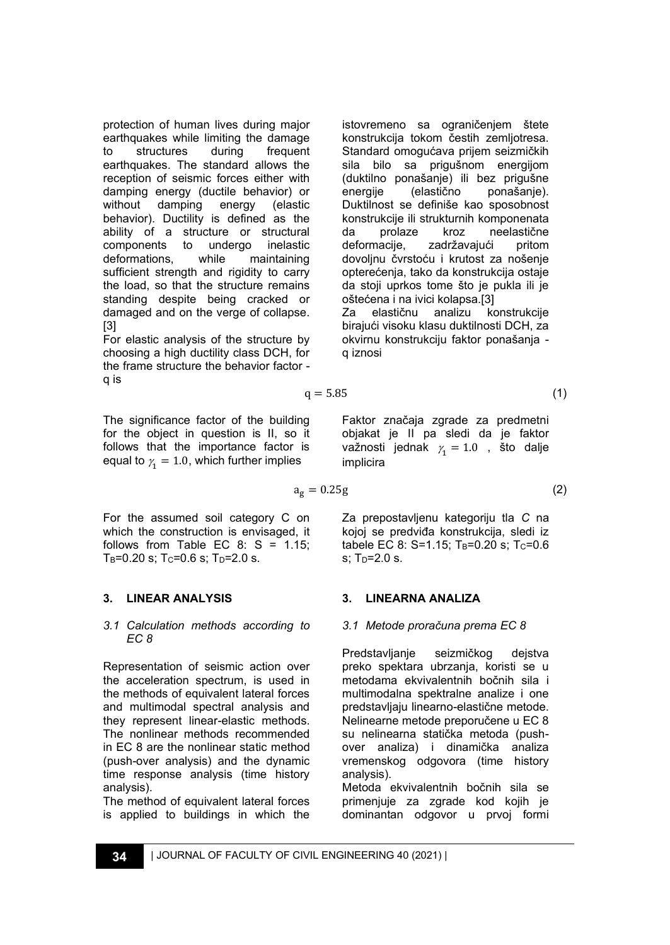protection of human lives during major earthquakes while limiting the damage to structures during frequent earthquakes. The standard allows the reception of seismic forces either with damping energy (ductile behavior) or without damping energy (elastic behavior). Ductility is defined as the ability of a structure or structural components to undergo inelastic deformations, while maintaining sufficient strength and rigidity to carry the load, so that the structure remains standing despite being cracked or damaged and on the verge of collapse. [3]

For elastic analysis of the structure by choosing a high ductility class DCH, for the frame structure the behavior factor q is

The significance factor of the building for the object in question is II, so it follows that the importance factor is equal to  $\gamma_{1}^{}=1.0,$  which further implies

For the assumed soil category C on which the construction is envisaged, it follows from Table EC  $8: S = 1.15$ ;  $T_B=0.20$  s;  $T_C=0.6$  s;  $T_D=2.0$  s.

# **3. LINEAR ANALYSIS**

#### *3.1 Calculation methods according to EC 8*

Representation of seismic action over the acceleration spectrum, is used in the methods of equivalent lateral forces and multimodal spectral analysis and they represent linear-elastic methods. The nonlinear methods recommended in EC 8 are the nonlinear static method (push-over analysis) and the dynamic time response analysis (time history analysis).

The method of equivalent lateral forces is applied to buildings in which the istovremeno sa ograničenjem štete konstrukcija tokom čestih zemljotresa. Standard omogućava prijem seizmičkih sila bilo sa prigušnom energijom (duktilno ponašanje) ili bez prigušne energije (elastično ponašanje). Duktilnost se definiše kao sposobnost konstrukcije ili strukturnih komponenata da prolaze kroz neelastične deformacije, zadržavajući pritom dovoljnu čvrstoću i krutost za nošenje opterećenja, tako da konstrukcija ostaje da stoji uprkos tome što je pukla ili je oštećena i na ivici kolapsa.[3] Za elastičnu analizu konstrukcije birajući visoku klasu duktilnosti DCH, za okvirnu konstrukciju faktor ponašanja -

q iznosi

 $q = 5.85$  (1)

Faktor značaja zgrade za predmetni objakat je II pa sledi da je faktor važnosti jednak  $\gamma_{1}=1.0$  , što dalje implicira

 $a_g = 0.25g$  (2)

Za prepostavljenu kategoriju tla *C* na kojoj se predviđa konstrukcija, sledi iz tabele EC 8: S=1.15;  $T_B=0.20$  s;  $T_C=0.6$  $s$ : T<sub>D</sub>=2.0 s.

### **3. LINEARNA ANALIZA**

#### *3.1 Metode proračuna prema EC 8*

Predstavljanje seizmičkog dejstva preko spektara ubrzanja, koristi se u metodama ekvivalentnih bočnih sila i multimodalna spektralne analize i one predstavljaju linearno-elastične metode. Nelinearne metode preporučene u EC 8 su nelinearna statička metoda (pushover analiza) i dinamička analiza vremenskog odgovora (time history analysis).

Metoda ekvivalentnih bočnih sila se primenjuje za zgrade kod kojih je dominantan odgovor u prvoj formi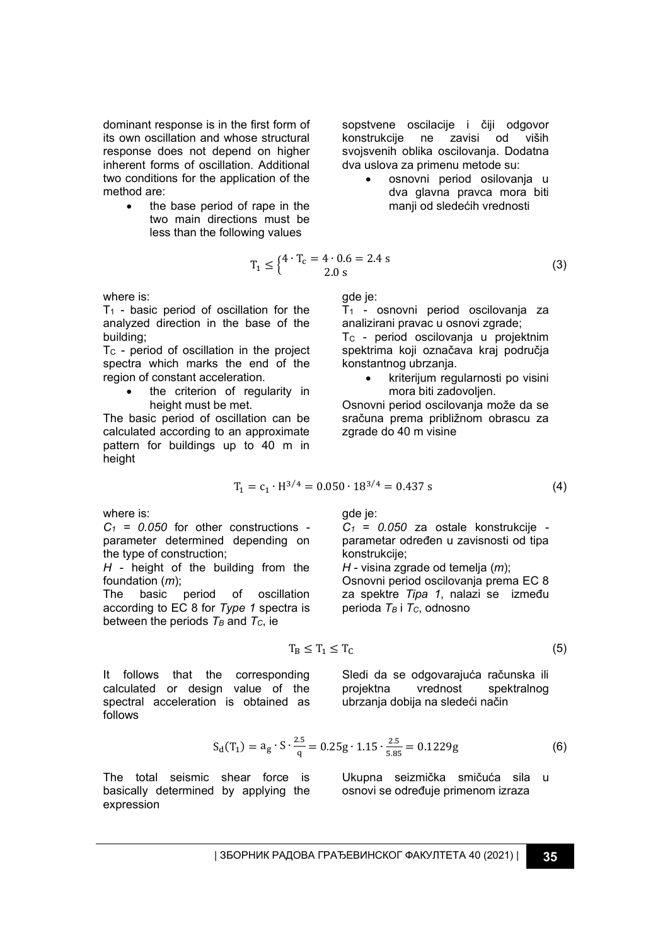dominant response is in the first form of its own oscillation and whose structural response does not depend on higher inherent forms of oscillation. Additional two conditions for the application of the method are:

> the base period of rape in the two main directions must be less than the following values

where is:

 $T_1$  - basic period of oscillation for the analyzed direction in the base of the building;

T<sub>C</sub> - period of oscillation in the project spectra which marks the end of the region of constant acceleration.

> the criterion of regularity in height must be met.

The basic period of oscillation can be calculated according to an approximate pattern for buildings up to 40 m in height

sopstvene oscilacije i čiji odgovor konstrukcije ne zavisi od viših svojsvenih oblika oscilovanja. Dodatna dva uslova za primenu metode su:

• osnovni period osilovanja u dva glavna pravca mora biti manji od sledećih vrednosti

$$
T_1 \le \begin{cases} 4 \cdot T_c = 4 \cdot 0.6 = 2.4 \text{ s} \\ 2.0 \text{ s} \end{cases} \tag{3}
$$

gde je:

T<sup>1</sup> - osnovni period oscilovanja za analizirani pravac u osnovi zgrade;

T<sub>C</sub> - period oscilovanja u projektnim spektrima koji označava kraj područja konstantnog ubrzanja.

• kriterijum regularnosti po visini mora biti zadovoljen.

Osnovni period oscilovanja može da se sračuna prema približnom obrascu za zgrade do 40 m visine

$$
T_1 = c_1 \cdot H^{3/4} = 0.050 \cdot 18^{3/4} = 0.437 s \tag{4}
$$

where is:

 $C_1$  = 0.050 for other constructions parameter determined depending on the type of construction;

*H* - height of the building from the foundation (*m*);

of oscillation according to EC 8 for *Type 1* spectra is between the periods  $T_B$  and  $T_C$ , ie

gde je:

*C<sup>1</sup> = 0.050* za ostale konstrukcije parametar određen u zavisnosti od tipa konstrukcije;

*H* - visina zgrade od temelja (*m*); Osnovni period oscilovanja prema EC 8 za spektre *Tipa 1*, nalazi se između perioda *T<sup>B</sup>* i *TC*, odnosno

$$
T_B \leq T_1 \leq T_C \tag{5}
$$

It follows that the corresponding calculated or design value of the spectral acceleration is obtained as follows

Sledi da se odgovarajuća računska ili<br>projektna vrednost spektralnog projektna vrednost spektralnog ubrzanja dobija na sledeći način

$$
S_d(T_1) = a_g \cdot S \cdot \frac{2.5}{q} = 0.25g \cdot 1.15 \cdot \frac{2.5}{5.85} = 0.1229g
$$
 (6)

The total seismic shear force is basically determined by applying the expression

Ukupna seizmička smičuća sila u osnovi se određuje primenom izraza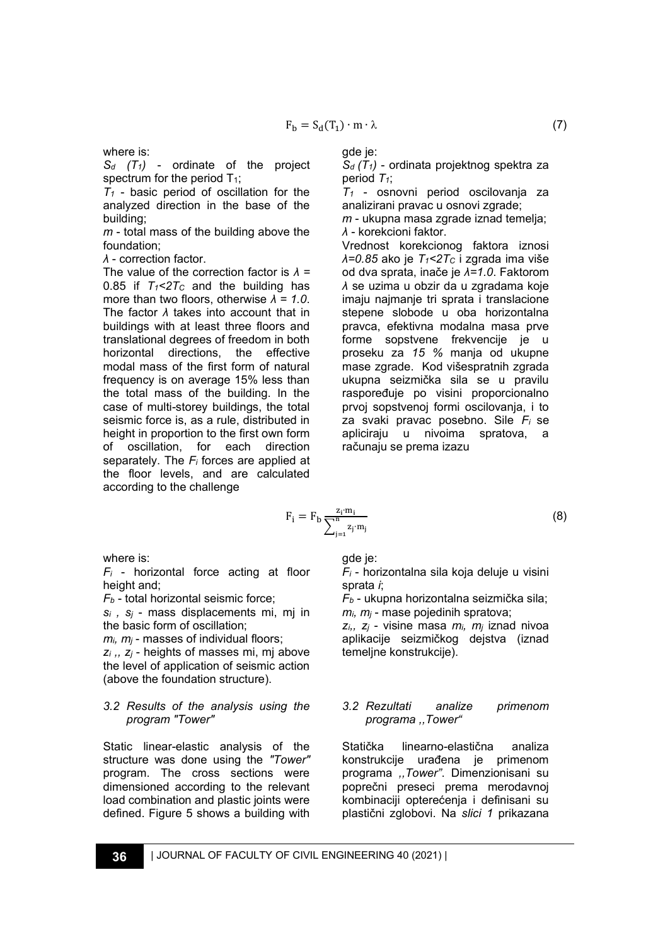where is:

*S<sup>d</sup> (T1)* - ordinate of the project spectrum for the period  $T_1$ ;

*T<sup>1</sup>* - basic period of oscillation for the analyzed direction in the base of the building;

*m* - total mass of the building above the foundation;

*λ* - correction factor.

The value of the correction factor is *λ =* 0.85 if  $T_1 < 2T_C$  and the building has more than two floors, otherwise *λ = 1.0*. The factor *λ* takes into account that in buildings with at least three floors and translational degrees of freedom in both horizontal directions, the effective modal mass of the first form of natural frequency is on average 15% less than the total mass of the building. In the case of multi-storey buildings, the total seismic force is, as a rule, distributed in height in proportion to the first own form of oscillation, for each direction separately. The *F<sup>i</sup>* forces are applied at the floor levels, and are calculated according to the challenge

gde je:

*Sd (T1)* - ordinata projektnog spektra za period *T1*;

*T<sup>1</sup>* - osnovni period oscilovanja za analizirani pravac u osnovi zgrade;

*m* - ukupna masa zgrade iznad temelja; *λ* - korekcioni faktor.

Vrednost korekcionog faktora iznosi *λ=0.85* ako je *T1<2T<sup>C</sup>* i zgrada ima više od dva sprata, inače je *λ=1.0*. Faktorom *λ* se uzima u obzir da u zgradama koje imaju najmanje tri sprata i translacione stepene slobode u oba horizontalna pravca, efektivna modalna masa prve forme sopstvene frekvencije je u proseku za *15 %* manja od ukupne mase zgrade. Kod višespratnih zgrada ukupna seizmička sila se u pravilu raspoređuje po visini proporcionalno prvoj sopstvenoj formi oscilovanja, i to za svaki pravac posebno. Sile *F<sup>i</sup>* se apliciraju u nivoima spratova, a računaju se prema izazu

$$
= F_{b} \frac{z_{i} m_{i}}{\sum_{j=1}^{n} z_{j} m_{j}}
$$
 (8)

where is:

*F<sup>i</sup>* - horizontal force acting at floor height and;

*F<sup>b</sup>* - total horizontal seismic force;

*s<sup>i</sup> , s<sup>j</sup>* - mass displacements mi, mj in the basic form of oscillation;

*mi, m<sup>j</sup>* - masses of individual floors;

*z<sup>i</sup> ,, z<sup>j</sup>* - heights of masses mi, mj above the level of application of seismic action (above the foundation structure).

#### *3.2 Results of the analysis using the program "Tower"*

Static linear-elastic analysis of the structure was done using the *"Tower"* program. The cross sections were dimensioned according to the relevant load combination and plastic joints were defined. Figure 5 shows a building with gde je:

*F<sup>i</sup>* - horizontalna sila koja deluje u visini sprata *i*;

*F<sup>b</sup>* - ukupna horizontalna seizmička sila; *mi, m<sup>j</sup>* - mase pojedinih spratova;

*zi,, z<sup>j</sup>* - visine masa *mi, m<sup>j</sup>* iznad nivoa aplikacije seizmičkog dejstva (iznad temeljne konstrukcije).

### *3.2 Rezultati analize primenom programa ,,Tower"*

Statička linearno-elastična analiza konstrukcije urađena je primenom programa *,,Tower"*. Dimenzionisani su poprečni preseci prema merodavnoj kombinaciji opterećenja i definisani su plastični zglobovi. Na *slici 1* prikazana

 $F_i$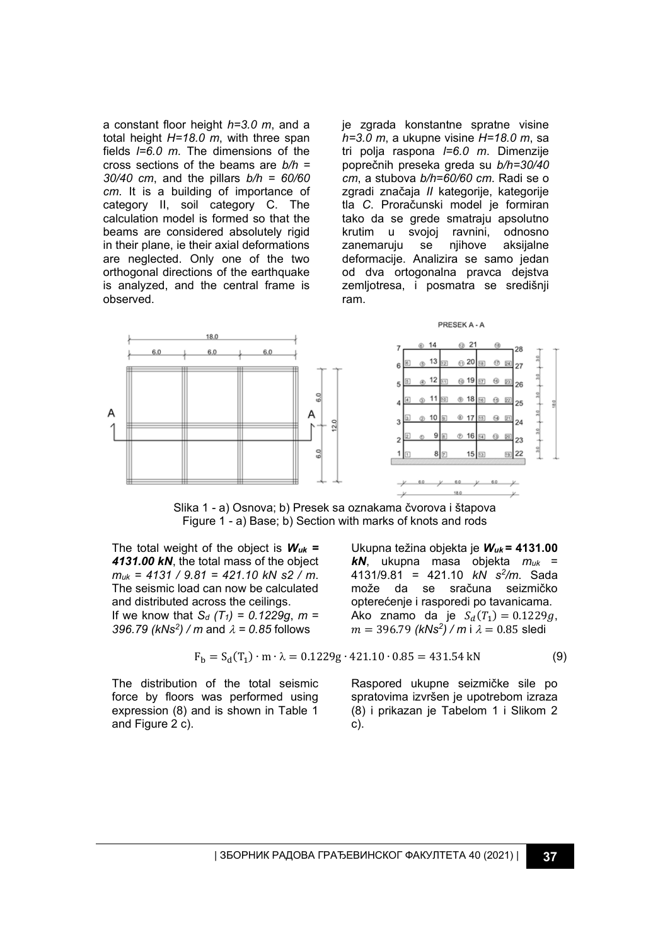a constant floor height *h=3.0 m*, and a total height *H=18.0 m*, with three span fields *l=6.0 m*. The dimensions of the cross sections of the beams are *b/h = 30/40 cm*, and the pillars *b/h = 60/60 cm*. It is a building of importance of category II, soil category C. The calculation model is formed so that the beams are considered absolutely rigid in their plane, ie their axial deformations are neglected. Only one of the two orthogonal directions of the earthquake is analyzed, and the central frame is observed.

je zgrada konstantne spratne visine *h=3.0 m*, a ukupne visine *H=18.0 m*, sa tri polja raspona *l=6.0 m*. Dimenzije poprečnih preseka greda su *b/h=30/40 cm*, a stubova *b/h=60/60 cm*. Radi se o zgradi značaja *II* kategorije, kategorije tla *C*. Proračunski model je formiran tako da se grede smatraju apsolutno krutim u svojoj ravnini, odnosno zanemaruju se nijhove aksijalne deformacije. Analizira se samo jedan od dva ortogonalna pravca dejstva zemljotresa, i posmatra se središnji ram.



Slika 1 - a) Osnova; b) Presek sa oznakama čvorova i štapova Figure 1 - a) Base; b) Section with marks of knots and rods

The total weight of the object is *Wuk = 4131.00 kN*, the total mass of the object *muk = 4131 / 9.81 = 421.10 kN s2 / m*. The seismic load can now be calculated and distributed across the ceilings. If we know that *S<sup>d</sup> (T1) = 0.1229g*, *m = 396.79 (kNs<sup>2</sup>)* / *m* and  $\lambda$  = 0.85 follows

Ukupna težina objekta je *Wuk* **= 4131.00**  *kN*, ukupna masa objekta *muk* = 4131/9.81 = 421.10 *kN s<sup>2</sup> /m*. Sada može da se sračuna seizmičko opterećenje i rasporedi po tavanicama. Ako znamo da je  $S_d(T_1) = 0.1229g$ ,  $m = 396.79$  *(kNs<sup>2</sup>) / m* i λ = 0.85 sledi

$$
F_b = S_d(T_1) \cdot m \cdot \lambda = 0.1229g \cdot 421.10 \cdot 0.85 = 431.54 \text{ kN}
$$
 (9)

The distribution of the total seismic force by floors was performed using expression (8) and is shown in Table 1 and Figure 2 c).

Raspored ukupne seizmičke sile po spratovima izvršen je upotrebom izraza (8) i prikazan je Tabelom 1 i Slikom 2 c).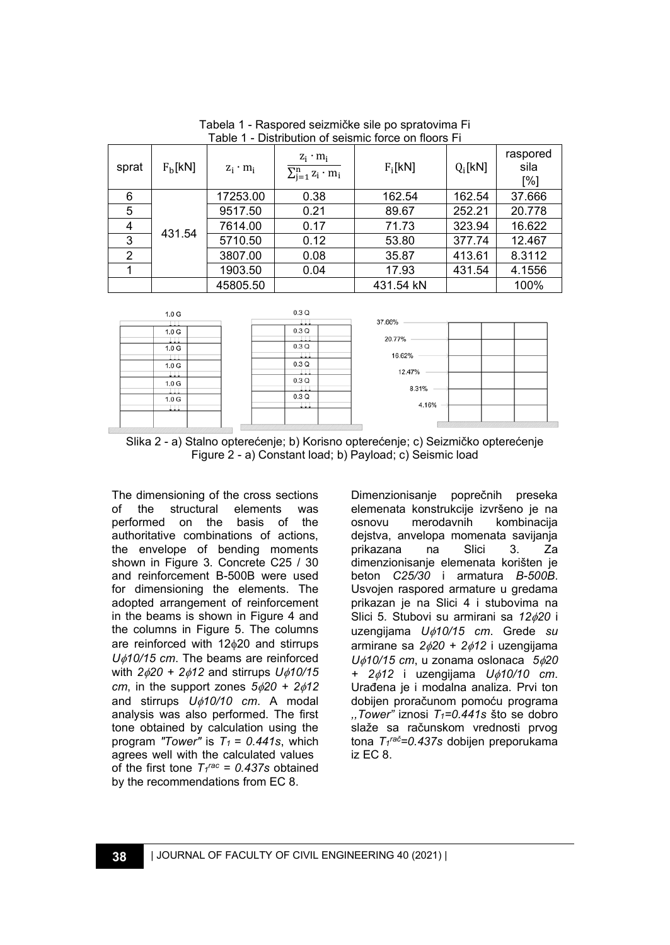| sprat          | F <sub>b</sub> [kN] | $z_i \cdot m_i$ | $z_i \cdot m_i$<br>$\sum_{i=1}^n z_i \cdot m_i$ | $F_i[kN]$ | $Q_i$ [kN] | raspored<br>sila<br>[%] |
|----------------|---------------------|-----------------|-------------------------------------------------|-----------|------------|-------------------------|
| 6              | 431.54              | 17253.00        | 0.38                                            | 162.54    | 162.54     | 37.666                  |
| 5              |                     | 9517.50         | 0.21                                            | 89.67     | 252.21     | 20.778                  |
| 4              |                     | 7614.00         | 0.17                                            | 71.73     | 323.94     | 16.622                  |
| 3              |                     | 5710.50         | 0.12                                            | 53.80     | 377.74     | 12.467                  |
| $\overline{2}$ |                     | 3807.00         | 0.08                                            | 35.87     | 413.61     | 8.3112                  |
|                |                     | 1903.50         | 0.04                                            | 17.93     | 431.54     | 4.1556                  |
|                |                     | 45805.50        |                                                 | 431.54 kN |            | 100%                    |

Tabela 1 - Raspored seizmičke sile po spratovima Fi Table 1 - Distribution of seismic force on floors Fi



Slika 2 - a) Stalno opterećenje; b) Korisno opterećenje; c) Seizmičko opterećenje Figure 2 - a) Constant load; b) Payload; c) Seismic load

The dimensioning of the cross sections of the structural elements was performed on the basis of the authoritative combinations of actions, the envelope of bending moments shown in Figure 3. Concrete C25 / 30 and reinforcement B-500B were used for dimensioning the elements. The adopted arrangement of reinforcement in the beams is shown in Figure 4 and the columns in Figure 5. The columns are reinforced with  $12\phi20$  and stirrups *U10/15 cm*. The beams are reinforced with *220 + 212* and stirrups *U10/15 cm*, in the support zones  $5\phi/20 + 2\phi/12$ and stirrups *U10/10 cm*. A modal analysis was also performed. The first tone obtained by calculation using the program "Tower" is  $T_1 = 0.441$ s, which agrees well with the calculated values of the first tone  $T_1$ <sup>rac</sup> = 0.437s obtained by the recommendations from EC 8.

Dimenzionisanje poprečnih preseka elemenata konstrukcije izvršeno je na osnovu merodavnih kombinacija dejstva, anvelopa momenata savijanja prikazana na Slici 3. Za dimenzionisanje elemenata korišten je beton *C25/30* i armatura *B-500B*. Usvojen raspored armature u gredama prikazan je na Slici 4 i stubovima na Slici 5*.* Stubovi su armirani sa *1220* i uzengijama *U10/15 cm*. Grede *su*  armirane sa *220 + 212* i uzengijama *U10/15 cm*, u zonama oslonaca *520 + 212* i uzengijama *U10/10 cm*. Urađena je i modalna analiza. Prvi ton dobijen proračunom pomoću programa *,,Tower"* iznosi *T1=0.441s* što se dobro slaže sa računskom vrednosti prvog tona *T<sup>1</sup> ra<sup>č</sup>=0.437s* dobijen preporukama iz EC 8.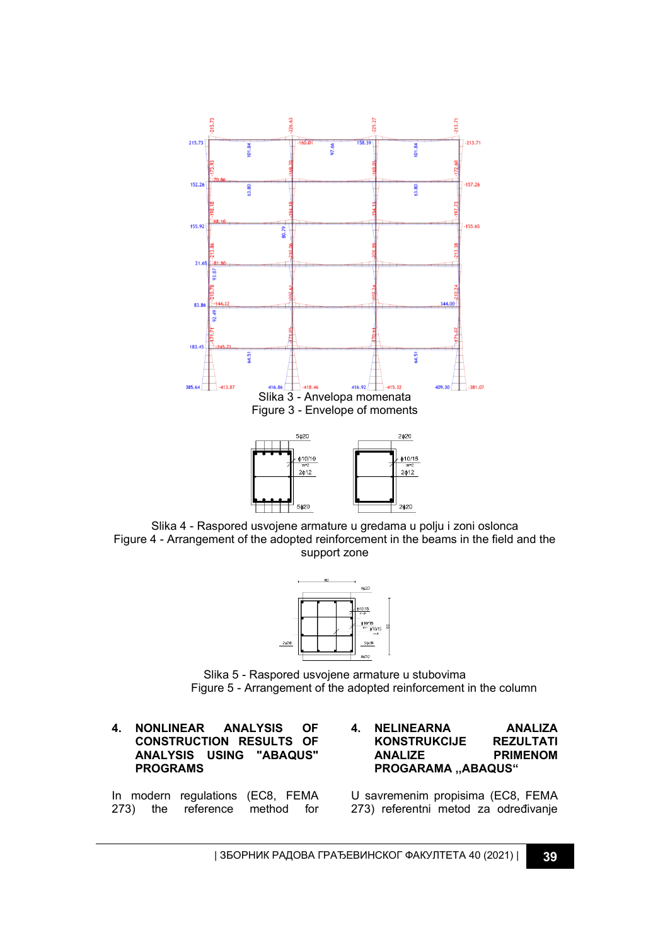

Slika 4 - Raspored usvojene armature u gredama u polju i zoni oslonca Figure 4 - Arrangement of the adopted reinforcement in the beams in the field and the support zone



Slika 5 - Raspored usvojene armature u stubovima Figure 5 - Arrangement of the adopted reinforcement in the column

### **4. NONLINEAR ANALYSIS OF CONSTRUCTION RESULTS OF ANALYSIS USING "ABAQUS" PROGRAMS**

In modern regulations (EC8, FEMA 273) the reference method for

#### **4. NELINEARNA ANALIZA KONSTRUKCIJE ANALIZE PRIMENOM PROGARAMA ,,ABAQUS"**

U savremenim propisima (EC8, FEMA 273) referentni metod za određivanje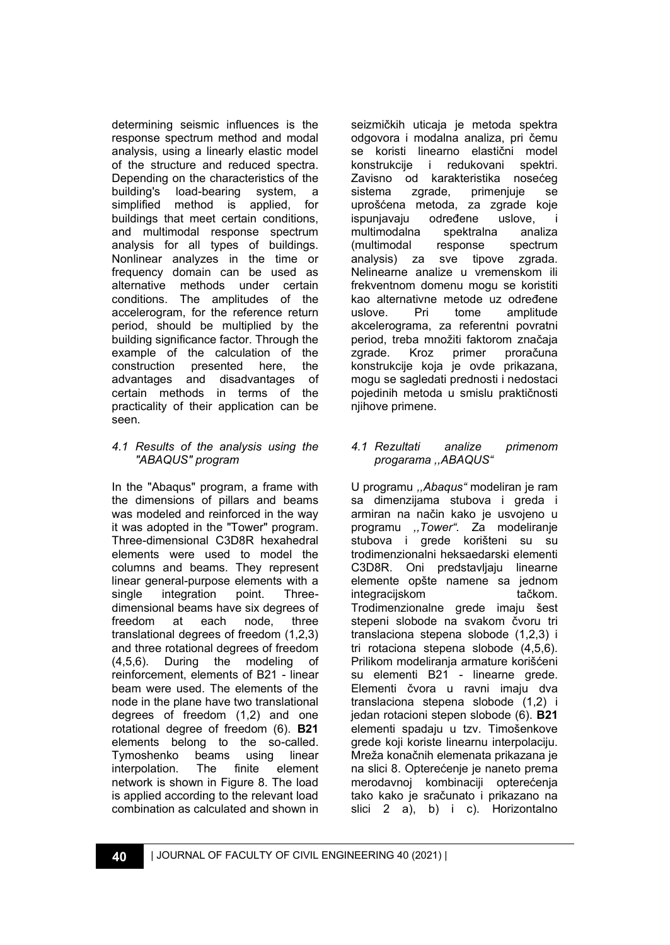determining seismic influences is the response spectrum method and modal analysis, using a linearly elastic model of the structure and reduced spectra. Depending on the characteristics of the building's load-bearing system, a simplified method is applied, for buildings that meet certain conditions, and multimodal response spectrum analysis for all types of buildings. Nonlinear analyzes in the time or frequency domain can be used as alternative methods under certain conditions. The amplitudes of the accelerogram, for the reference return period, should be multiplied by the building significance factor. Through the example of the calculation of the construction presented here, the advantages and disadvantages of certain methods in terms of the practicality of their application can be seen.

### *4.1 Results of the analysis using the "ABAQUS" program*

In the "Abaqus" program, a frame with the dimensions of pillars and beams was modeled and reinforced in the way it was adopted in the "Tower" program. Three-dimensional C3D8R hexahedral elements were used to model the columns and beams. They represent linear general-purpose elements with a single integration point. Threedimensional beams have six degrees of freedom at each node, three translational degrees of freedom (1,2,3) and three rotational degrees of freedom<br>(4.5.6). During the modeling of (4,5,6). During the modeling of reinforcement, elements of B21 - linear beam were used. The elements of the node in the plane have two translational degrees of freedom (1,2) and one rotational degree of freedom (6). **B21** elements belong to the so-called. Tymoshenko beams using linear interpolation. The finite element network is shown in Figure 8. The load is applied according to the relevant load combination as calculated and shown in

seizmičkih uticaja je metoda spektra odgovora i modalna analiza, pri čemu se koristi linearno elastični model konstrukcije i redukovani spektri. Zavisno od karakteristika nosećeg sistema zgrade, primenjuje se uprošćena metoda, za zgrade koje ispunjavaju određene uslove, i multimodalna spektralna analiza (multimodal response spectrum analysis) za sve tipove zgrada. Nelinearne analize u vremenskom ili frekventnom domenu mogu se koristiti kao alternativne metode uz određene uslove. Pri tome amplitude akcelerograma, za referentni povratni period, treba množiti faktorom značaja zgrade. Kroz primer proračuna konstrukcije koja je ovde prikazana, mogu se sagledati prednosti i nedostaci pojedinih metoda u smislu praktičnosti niihove primene.

# *4.1 Rezultati analize primenom progarama ,,ABAQUS"*

U programu *,,Abaqus"* modeliran je ram sa dimenzijama stubova i greda i armiran na način kako je usvojeno u programu *,,Tower".* Za modeliranje stubova i grede korišteni su su trodimenzionalni heksaedarski elementi C3D8R. Oni predstavljaju linearne elemente opšte namene sa jednom integracijskom tačkom. Trodimenzionalne grede imaju šest stepeni slobode na svakom čvoru tri translaciona stepena slobode (1,2,3) i tri rotaciona stepena slobode (4,5,6). Prilikom modeliranja armature korišćeni su elementi B21 - linearne grede. Elementi čvora u ravni imaju dva translaciona stepena slobode (1,2) i jedan rotacioni stepen slobode (6). **B21** elementi spadaju u tzv. Timošenkove grede koji koriste linearnu interpolaciju. Mreža konačnih elemenata prikazana je na slici 8. Opterećenje je naneto prema merodavnoj kombinaciji opterećenja tako kako je sračunato i prikazano na slici 2 a), b) i c). Horizontalno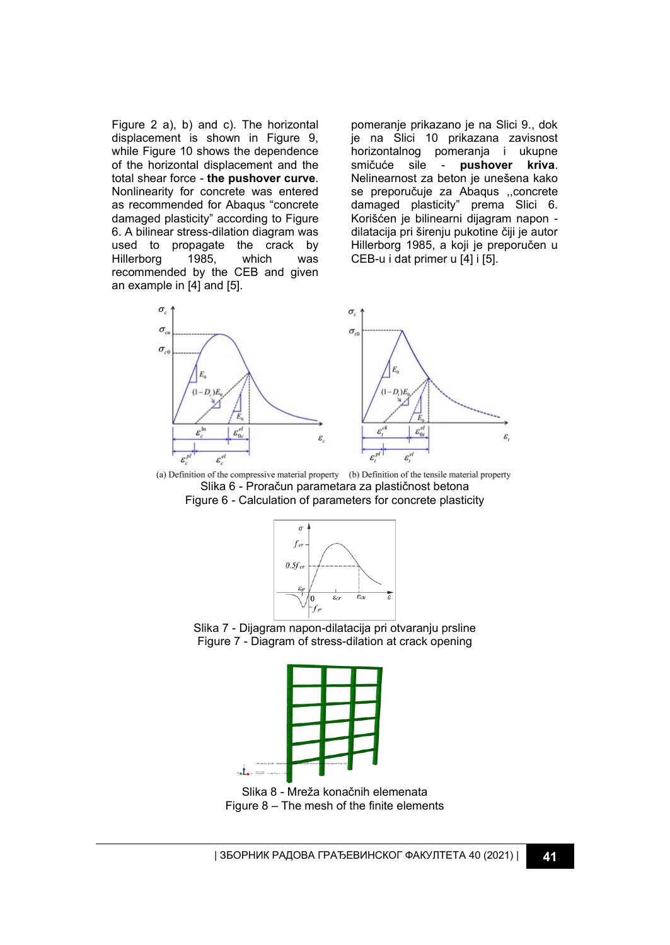Figure 2 a), b) and c). The horizontal displacement is shown in Figure 9, while Figure 10 shows the dependence of the horizontal displacement and the total shear force - **the pushover curve**. Nonlinearity for concrete was entered as recommended for Abaqus "concrete damaged plasticity" according to Figure 6. A bilinear stress-dilation diagram was used to propagate the crack by<br>Hillerborg 1985. which was Hillerborg 1985, which was recommended by the CEB and given an example in [4] and [5].

pomeranje prikazano je na Slici 9., dok je na Slici 10 prikazana zavisnost horizontalnog pomeranja i ukupne smičuće sile - **pushover kriva**. Nelinearnost za beton je unešena kako se preporučuje za Abaqus ,,concrete damaged plasticity" prema Slici 6. Korišćen je bilinearni dijagram napon dilatacija pri širenju pukotine čiji je autor Hillerborg 1985, a koji je preporučen u CEB-u i dat primer u [4] i [5].



(a) Definition of the compressive material property (b) Definition of the tensile material property Slika 6 - Proračun parametara za plastičnost betona Figure 6 - Calculation of parameters for concrete plasticity



Slika 7 - Dijagram napon-dilatacija pri otvaranju prsline Figure 7 - Diagram of stress-dilation at crack opening



Slika 8 - Mreža konačnih elemenata Figure 8 – The mesh of the finite elements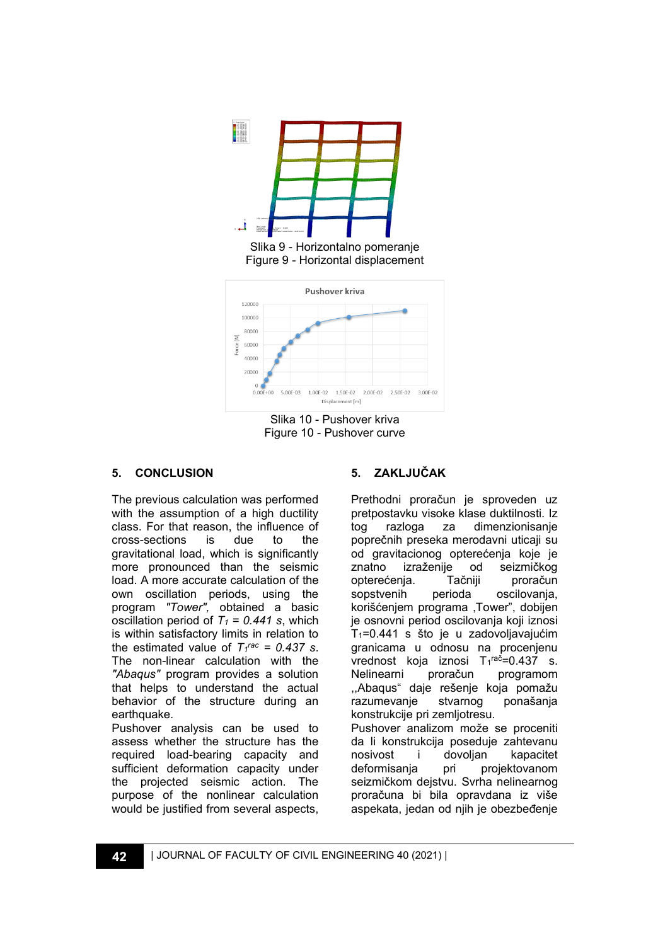

Slika 10 - Pushover kriva Figure 10 - Pushover curve

# **5. CONCLUSION**

The previous calculation was performed with the assumption of a high ductility class. For that reason, the influence of cross-sections is due to the gravitational load, which is significantly more pronounced than the seismic load. A more accurate calculation of the own oscillation periods, using the program *"Tower",* obtained a basic oscillation period of  $T_1$  = 0.441 s, which is within satisfactory limits in relation to the estimated value of  $T_f^{rac} = 0.437$  s. The non-linear calculation with the *"Abaqus"* program provides a solution that helps to understand the actual behavior of the structure during an earthquake.

Pushover analysis can be used to assess whether the structure has the required load-bearing capacity and sufficient deformation capacity under the projected seismic action. The purpose of the nonlinear calculation would be justified from several aspects,

# **5. ZAKLJUČAK**

Prethodni proračun je sproveden uz pretpostavku visoke klase duktilnosti. Iz tog razloga za dimenzionisanje poprečnih preseka merodavni uticaji su od gravitacionog opterećenja koje je znatno izraženije od seizmičkog opterećenja. Tačniji proračun sopstvenih perioda oscilovanja, korišćenjem programa ,Tower", dobijen je osnovni period oscilovanja koji iznosi T1=0.441 s što je u zadovoljavajućim granicama u odnosu na procenjenu vrednost koja iznosi T<sub>1</sub>rač=0.437 s. Nelinearni proračun programom ,,Abaqus" daje rešenje koja pomažu razumevanje stvarnog ponašanja konstrukcije pri zemljotresu. Pushover analizom može se proceniti da li konstrukcija poseduje zahtevanu nosivost i dovoljan kapacitet

deformisanja pri projektovanom seizmičkom dejstvu. Svrha nelinearnog proračuna bi bila opravdana iz više aspekata, jedan od njih je obezbeđenje